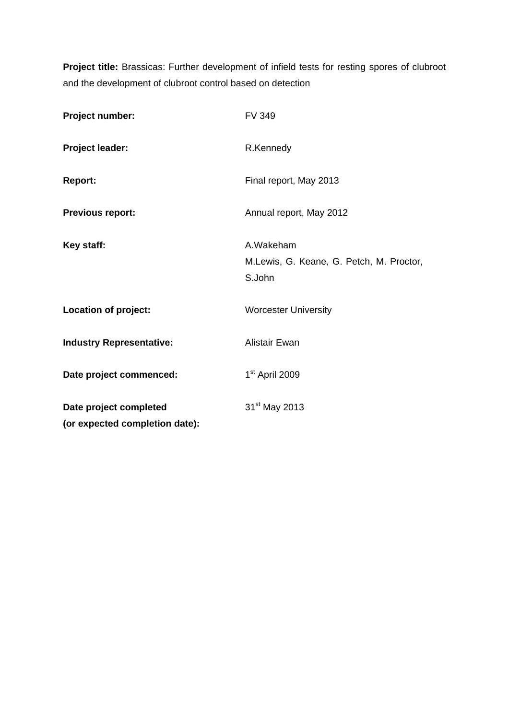**Project title:** Brassicas: Further development of infield tests for resting spores of clubroot and the development of clubroot control based on detection

| Project number:                 | <b>FV 349</b>                            |
|---------------------------------|------------------------------------------|
| <b>Project leader:</b>          | R.Kennedy                                |
| <b>Report:</b>                  | Final report, May 2013                   |
| <b>Previous report:</b>         | Annual report, May 2012                  |
| Key staff:                      | A.Wakeham                                |
|                                 | M.Lewis, G. Keane, G. Petch, M. Proctor, |
|                                 | S.John                                   |
| Location of project:            | <b>Worcester University</b>              |
| <b>Industry Representative:</b> | <b>Alistair Ewan</b>                     |
| Date project commenced:         | 1 <sup>st</sup> April 2009               |
| Date project completed          | 31 <sup>st</sup> May 2013                |
| (or expected completion date):  |                                          |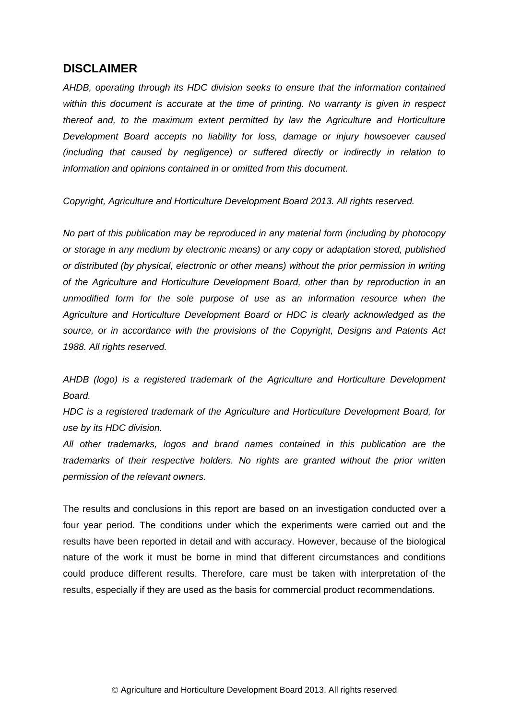# **DISCLAIMER**

*AHDB, operating through its HDC division seeks to ensure that the information contained within this document is accurate at the time of printing. No warranty is given in respect thereof and, to the maximum extent permitted by law the Agriculture and Horticulture Development Board accepts no liability for loss, damage or injury howsoever caused (including that caused by negligence) or suffered directly or indirectly in relation to information and opinions contained in or omitted from this document.* 

*Copyright, Agriculture and Horticulture Development Board 2013. All rights reserved.*

*No part of this publication may be reproduced in any material form (including by photocopy or storage in any medium by electronic means) or any copy or adaptation stored, published or distributed (by physical, electronic or other means) without the prior permission in writing of the Agriculture and Horticulture Development Board, other than by reproduction in an unmodified form for the sole purpose of use as an information resource when the Agriculture and Horticulture Development Board or HDC is clearly acknowledged as the source, or in accordance with the provisions of the Copyright, Designs and Patents Act 1988. All rights reserved.* 

*AHDB (logo) is a registered trademark of the Agriculture and Horticulture Development Board.*

*HDC is a registered trademark of the Agriculture and Horticulture Development Board, for use by its HDC division.*

*All other trademarks, logos and brand names contained in this publication are the trademarks of their respective holders. No rights are granted without the prior written permission of the relevant owners.*

The results and conclusions in this report are based on an investigation conducted over a four year period. The conditions under which the experiments were carried out and the results have been reported in detail and with accuracy. However, because of the biological nature of the work it must be borne in mind that different circumstances and conditions could produce different results. Therefore, care must be taken with interpretation of the results, especially if they are used as the basis for commercial product recommendations.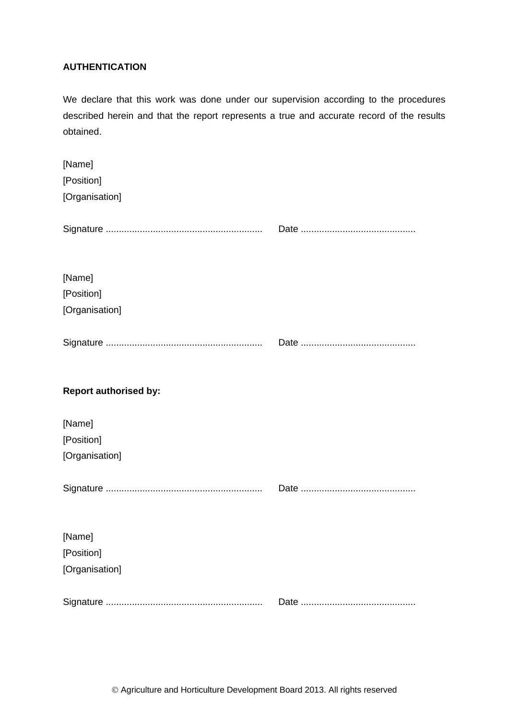# **AUTHENTICATION**

We declare that this work was done under our supervision according to the procedures described herein and that the report represents a true and accurate record of the results obtained.

| [Name]                       |  |
|------------------------------|--|
| [Position]                   |  |
| [Organisation]               |  |
|                              |  |
|                              |  |
|                              |  |
| [Name]                       |  |
| [Position]                   |  |
| [Organisation]               |  |
|                              |  |
|                              |  |
|                              |  |
|                              |  |
| <b>Report authorised by:</b> |  |
| [Name]                       |  |
|                              |  |
|                              |  |
| [Position]                   |  |
| [Organisation]               |  |
|                              |  |
|                              |  |
|                              |  |
| [Name]                       |  |
| [Position]                   |  |
| [Organisation]               |  |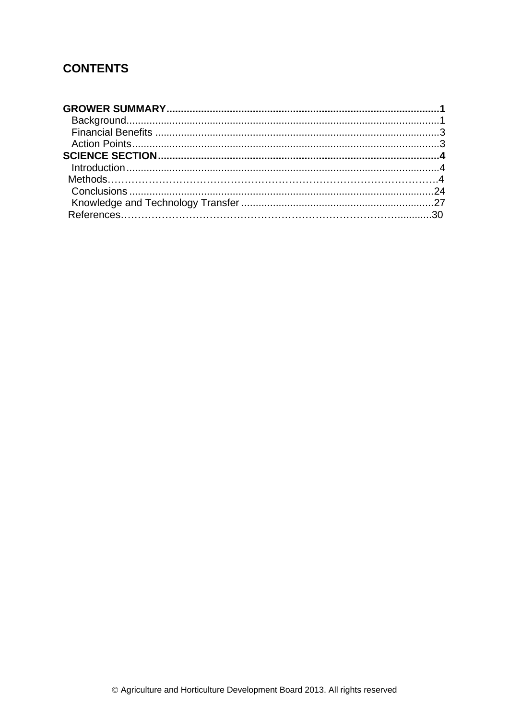# **CONTENTS**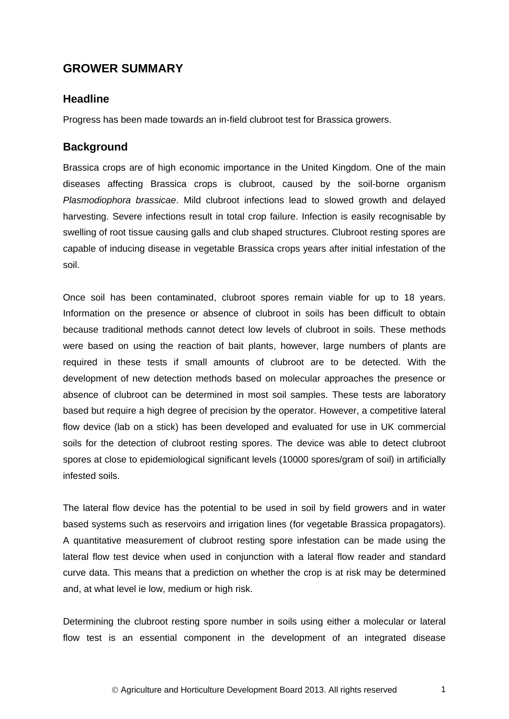# <span id="page-4-0"></span>**GROWER SUMMARY**

# **Headline**

Progress has been made towards an in-field clubroot test for Brassica growers.

# <span id="page-4-1"></span>**Background**

Brassica crops are of high economic importance in the United Kingdom. One of the main diseases affecting Brassica crops is clubroot, caused by the soil-borne organism *Plasmodiophora brassicae*. Mild clubroot infections lead to slowed growth and delayed harvesting. Severe infections result in total crop failure. Infection is easily recognisable by swelling of root tissue causing galls and club shaped structures. Clubroot resting spores are capable of inducing disease in vegetable Brassica crops years after initial infestation of the soil.

Once soil has been contaminated, clubroot spores remain viable for up to 18 years. Information on the presence or absence of clubroot in soils has been difficult to obtain because traditional methods cannot detect low levels of clubroot in soils. These methods were based on using the reaction of bait plants, however, large numbers of plants are required in these tests if small amounts of clubroot are to be detected. With the development of new detection methods based on molecular approaches the presence or absence of clubroot can be determined in most soil samples. These tests are laboratory based but require a high degree of precision by the operator. However, a competitive lateral flow device (lab on a stick) has been developed and evaluated for use in UK commercial soils for the detection of clubroot resting spores. The device was able to detect clubroot spores at close to epidemiological significant levels (10000 spores/gram of soil) in artificially infested soils.

The lateral flow device has the potential to be used in soil by field growers and in water based systems such as reservoirs and irrigation lines (for vegetable Brassica propagators). A quantitative measurement of clubroot resting spore infestation can be made using the lateral flow test device when used in conjunction with a lateral flow reader and standard curve data. This means that a prediction on whether the crop is at risk may be determined and, at what level ie low, medium or high risk.

Determining the clubroot resting spore number in soils using either a molecular or lateral flow test is an essential component in the development of an integrated disease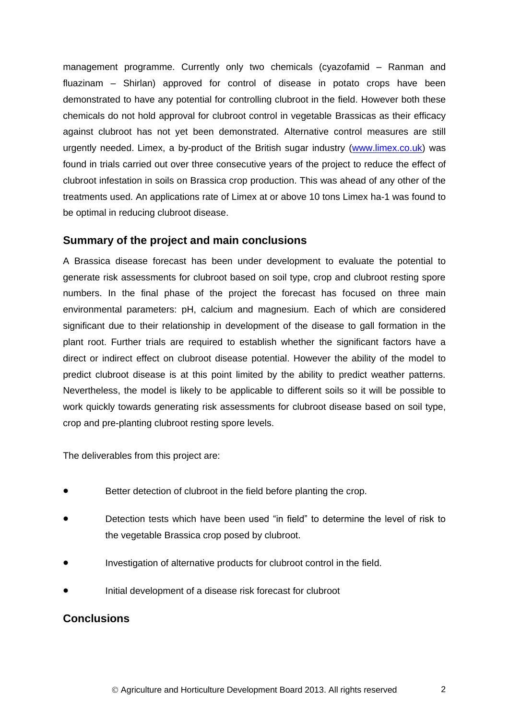management programme. Currently only two chemicals (cyazofamid – Ranman and fluazinam – Shirlan) approved for control of disease in potato crops have been demonstrated to have any potential for controlling clubroot in the field. However both these chemicals do not hold approval for clubroot control in vegetable Brassicas as their efficacy against clubroot has not yet been demonstrated. Alternative control measures are still urgently needed. Limex, a by-product of the British sugar industry [\(www.limex.co.uk\)](http://www.limex.co.uk/) was found in trials carried out over three consecutive years of the project to reduce the effect of clubroot infestation in soils on Brassica crop production. This was ahead of any other of the treatments used. An applications rate of Limex at or above 10 tons Limex ha-1 was found to be optimal in reducing clubroot disease.

### **Summary of the project and main conclusions**

A Brassica disease forecast has been under development to evaluate the potential to generate risk assessments for clubroot based on soil type, crop and clubroot resting spore numbers. In the final phase of the project the forecast has focused on three main environmental parameters: pH, calcium and magnesium. Each of which are considered significant due to their relationship in development of the disease to gall formation in the plant root. Further trials are required to establish whether the significant factors have a direct or indirect effect on clubroot disease potential. However the ability of the model to predict clubroot disease is at this point limited by the ability to predict weather patterns. Nevertheless, the model is likely to be applicable to different soils so it will be possible to work quickly towards generating risk assessments for clubroot disease based on soil type, crop and pre-planting clubroot resting spore levels.

The deliverables from this project are:

- Better detection of clubroot in the field before planting the crop.
- Detection tests which have been used "in field" to determine the level of risk to the vegetable Brassica crop posed by clubroot.
- Investigation of alternative products for clubroot control in the field.
- Initial development of a disease risk forecast for clubroot

# **Conclusions**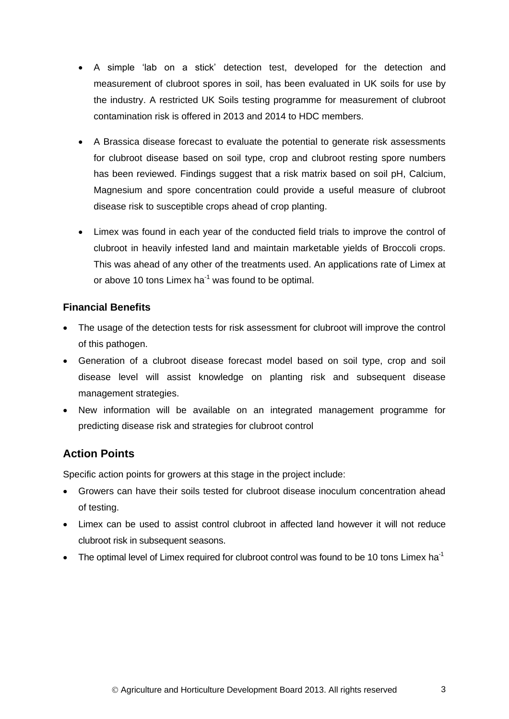- A simple 'lab on a stick' detection test, developed for the detection and measurement of clubroot spores in soil, has been evaluated in UK soils for use by the industry. A restricted UK Soils testing programme for measurement of clubroot contamination risk is offered in 2013 and 2014 to HDC members.
- A Brassica disease forecast to evaluate the potential to generate risk assessments for clubroot disease based on soil type, crop and clubroot resting spore numbers has been reviewed. Findings suggest that a risk matrix based on soil pH, Calcium, Magnesium and spore concentration could provide a useful measure of clubroot disease risk to susceptible crops ahead of crop planting.
- Limex was found in each year of the conducted field trials to improve the control of clubroot in heavily infested land and maintain marketable yields of Broccoli crops. This was ahead of any other of the treatments used. An applications rate of Limex at or above 10 tons Limex ha<sup>-1</sup> was found to be optimal.

# <span id="page-6-0"></span>**Financial Benefits**

- The usage of the detection tests for risk assessment for clubroot will improve the control of this pathogen.
- Generation of a clubroot disease forecast model based on soil type, crop and soil disease level will assist knowledge on planting risk and subsequent disease management strategies.
- New information will be available on an integrated management programme for predicting disease risk and strategies for clubroot control

# <span id="page-6-1"></span>**Action Points**

Specific action points for growers at this stage in the project include:

- Growers can have their soils tested for clubroot disease inoculum concentration ahead of testing.
- Limex can be used to assist control clubroot in affected land however it will not reduce clubroot risk in subsequent seasons.
- <span id="page-6-2"></span> $\bullet$  The optimal level of Limex required for clubroot control was found to be 10 tons Limex ha<sup>-1</sup>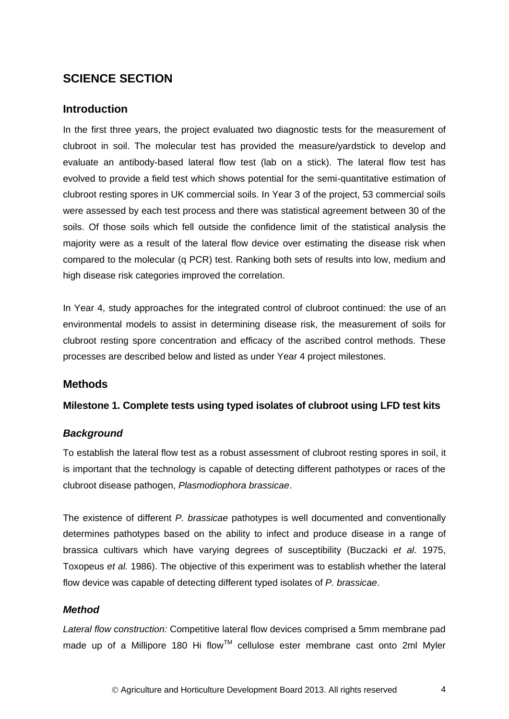# **SCIENCE SECTION**

# <span id="page-7-0"></span>**Introduction**

In the first three years, the project evaluated two diagnostic tests for the measurement of clubroot in soil. The molecular test has provided the measure/yardstick to develop and evaluate an antibody-based lateral flow test (lab on a stick). The lateral flow test has evolved to provide a field test which shows potential for the semi-quantitative estimation of clubroot resting spores in UK commercial soils. In Year 3 of the project, 53 commercial soils were assessed by each test process and there was statistical agreement between 30 of the soils. Of those soils which fell outside the confidence limit of the statistical analysis the majority were as a result of the lateral flow device over estimating the disease risk when compared to the molecular (q PCR) test. Ranking both sets of results into low, medium and high disease risk categories improved the correlation.

In Year 4, study approaches for the integrated control of clubroot continued: the use of an environmental models to assist in determining disease risk, the measurement of soils for clubroot resting spore concentration and efficacy of the ascribed control methods. These processes are described below and listed as under Year 4 project milestones.

# **Methods**

# **Milestone 1. Complete tests using typed isolates of clubroot using LFD test kits**

# *Background*

To establish the lateral flow test as a robust assessment of clubroot resting spores in soil, it is important that the technology is capable of detecting different pathotypes or races of the clubroot disease pathogen, *Plasmodiophora brassicae*.

The existence of different *P. brassicae* pathotypes is well documented and conventionally determines pathotypes based on the ability to infect and produce disease in a range of brassica cultivars which have varying degrees of susceptibility (Buczacki *et al*. 1975, Toxopeus *et al.* 1986). The objective of this experiment was to establish whether the lateral flow device was capable of detecting different typed isolates of *P. brassicae*.

### *Method*

*Lateral flow construction:* Competitive lateral flow devices comprised a 5mm membrane pad made up of a Millipore 180 Hi flow™ cellulose ester membrane cast onto 2ml Myler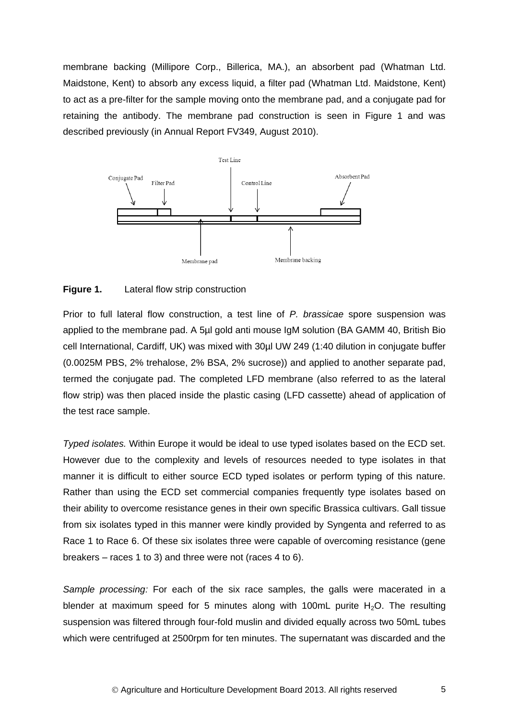membrane backing (Millipore Corp., Billerica, MA.), an absorbent pad [\(Whatman](http://www.whatman.com/) Ltd. Maidstone, Kent) to absorb any excess liquid, a filter pad [\(Whatman](http://www.whatman.com/) Ltd. Maidstone, Kent) to act as a pre-filter for the sample moving onto the membrane pad, and a conjugate pad for retaining the antibody. The membrane pad construction is seen in Figure 1 and was described previously (in Annual Report FV349, August 2010).



#### **Figure 1.** Lateral flow strip construction

Prior to full lateral flow construction, a test line of *P. brassicae* spore suspension was applied to the membrane pad. A 5µl gold anti mouse IgM solution (BA GAMM 40, British Bio cell International, Cardiff, UK) was mixed with 30µl UW 249 (1:40 dilution in conjugate buffer (0.0025M PBS, 2% trehalose, 2% BSA, 2% sucrose)) and applied to another separate pad, termed the conjugate pad. The completed LFD membrane (also referred to as the lateral flow strip) was then placed inside the plastic casing (LFD cassette) ahead of application of the test race sample.

*Typed isolates.* Within Europe it would be ideal to use typed isolates based on the ECD set. However due to the complexity and levels of resources needed to type isolates in that manner it is difficult to either source ECD typed isolates or perform typing of this nature. Rather than using the ECD set commercial companies frequently type isolates based on their ability to overcome resistance genes in their own specific Brassica cultivars. Gall tissue from six isolates typed in this manner were kindly provided by Syngenta and referred to as Race 1 to Race 6. Of these six isolates three were capable of overcoming resistance (gene breakers – races 1 to 3) and three were not (races 4 to 6).

*Sample processing:* For each of the six race samples, the galls were macerated in a blender at maximum speed for 5 minutes along with 100mL purite  $H_2O$ . The resulting suspension was filtered through four-fold muslin and divided equally across two 50mL tubes which were centrifuged at 2500rpm for ten minutes. The supernatant was discarded and the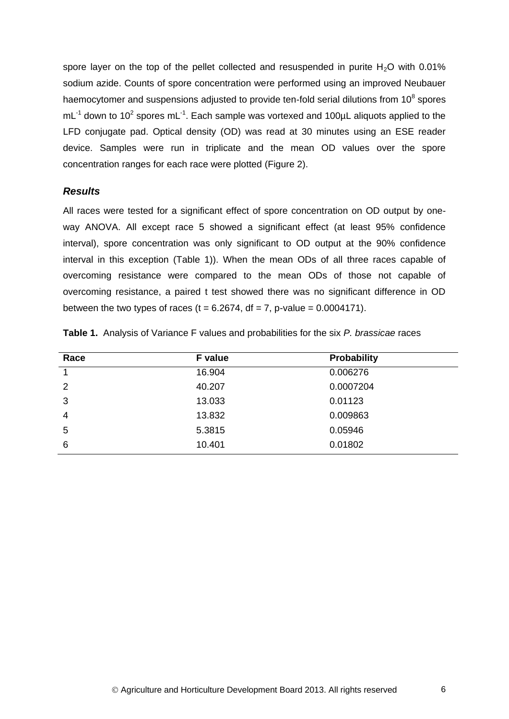spore layer on the top of the pellet collected and resuspended in purite  $H<sub>2</sub>O$  with 0.01% sodium azide. Counts of spore concentration were performed using an improved Neubauer haemocytomer and suspensions adjusted to provide ten-fold serial dilutions from 10<sup>8</sup> spores  $mL^{-1}$  down to 10<sup>2</sup> spores mL<sup>-1</sup>. Each sample was vortexed and 100µL aliquots applied to the LFD conjugate pad. Optical density (OD) was read at 30 minutes using an ESE reader device. Samples were run in triplicate and the mean OD values over the spore concentration ranges for each race were plotted (Figure 2).

### *Results*

All races were tested for a significant effect of spore concentration on OD output by oneway ANOVA. All except race 5 showed a significant effect (at least 95% confidence interval), spore concentration was only significant to OD output at the 90% confidence interval in this exception (Table 1)). When the mean ODs of all three races capable of overcoming resistance were compared to the mean ODs of those not capable of overcoming resistance, a paired t test showed there was no significant difference in OD between the two types of races ( $t = 6.2674$ , df = 7, p-value = 0.0004171).

| Race           | F value | <b>Probability</b> |
|----------------|---------|--------------------|
| $\overline{1}$ | 16.904  | 0.006276           |
| 2              | 40.207  | 0.0007204          |
| 3              | 13.033  | 0.01123            |
| $\overline{4}$ | 13.832  | 0.009863           |
| 5              | 5.3815  | 0.05946            |
| 6              | 10.401  | 0.01802            |

**Table 1.** Analysis of Variance F values and probabilities for the six *P. brassicae* races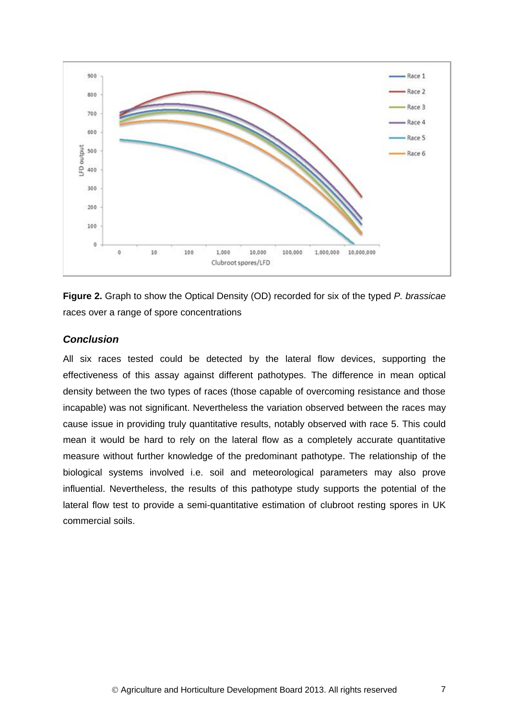

**Figure 2.** Graph to show the Optical Density (OD) recorded for six of the typed *P. brassicae* races over a range of spore concentrations

### *Conclusion*

All six races tested could be detected by the lateral flow devices, supporting the effectiveness of this assay against different pathotypes. The difference in mean optical density between the two types of races (those capable of overcoming resistance and those incapable) was not significant. Nevertheless the variation observed between the races may cause issue in providing truly quantitative results, notably observed with race 5. This could mean it would be hard to rely on the lateral flow as a completely accurate quantitative measure without further knowledge of the predominant pathotype. The relationship of the biological systems involved i.e. soil and meteorological parameters may also prove influential. Nevertheless, the results of this pathotype study supports the potential of the lateral flow test to provide a semi-quantitative estimation of clubroot resting spores in UK commercial soils.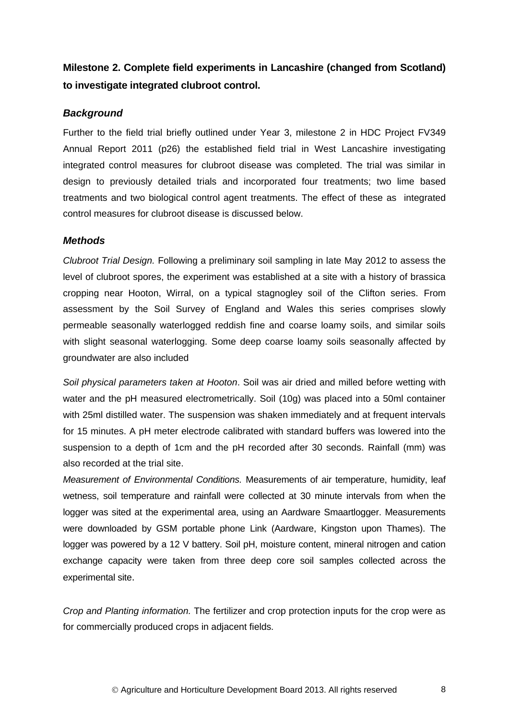# **Milestone 2. Complete field experiments in Lancashire (changed from Scotland) to investigate integrated clubroot control.**

# *Background*

Further to the field trial briefly outlined under Year 3, milestone 2 in HDC Project FV349 Annual Report 2011 (p26) the established field trial in West Lancashire investigating integrated control measures for clubroot disease was completed. The trial was similar in design to previously detailed trials and incorporated four treatments; two lime based treatments and two biological control agent treatments. The effect of these as integrated control measures for clubroot disease is discussed below.

### *Methods*

*Clubroot Trial Design.* Following a preliminary soil sampling in late May 2012 to assess the level of clubroot spores, the experiment was established at a site with a history of brassica cropping near Hooton, Wirral, on a typical stagnogley soil of the Clifton series. From assessment by the Soil Survey of England and Wales this series comprises slowly permeable seasonally waterlogged reddish fine and coarse loamy soils, and similar soils with slight seasonal waterlogging. Some deep coarse loamy soils seasonally affected by groundwater are also included

*Soil physical parameters taken at Hooton*. Soil was air dried and milled before wetting with water and the pH measured electrometrically. Soil (10g) was placed into a 50ml container with 25ml distilled water. The suspension was shaken immediately and at frequent intervals for 15 minutes. A pH meter electrode calibrated with standard buffers was lowered into the suspension to a depth of 1cm and the pH recorded after 30 seconds. Rainfall (mm) was also recorded at the trial site.

*Measurement of Environmental Conditions.* Measurements of air temperature, humidity, leaf wetness, soil temperature and rainfall were collected at 30 minute intervals from when the logger was sited at the experimental area, using an Aardware Smaartlogger. Measurements were downloaded by GSM portable phone Link (Aardware, Kingston upon Thames). The logger was powered by a 12 V battery. Soil pH, moisture content, mineral nitrogen and cation exchange capacity were taken from three deep core soil samples collected across the experimental site.

*Crop and Planting information.* The fertilizer and crop protection inputs for the crop were as for commercially produced crops in adjacent fields*.*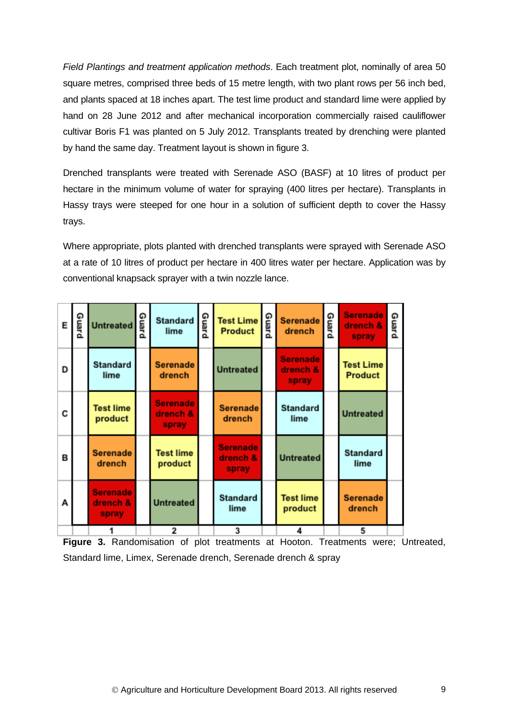*Field Plantings and treatment application methods*. Each treatment plot, nominally of area 50 square metres, comprised three beds of 15 metre length, with two plant rows per 56 inch bed, and plants spaced at 18 inches apart. The test lime product and standard lime were applied by hand on 28 June 2012 and after mechanical incorporation commercially raised cauliflower cultivar Boris F1 was planted on 5 July 2012. Transplants treated by drenching were planted by hand the same day. Treatment layout is shown in figure 3.

Drenched transplants were treated with Serenade ASO (BASF) at 10 litres of product per hectare in the minimum volume of water for spraying (400 litres per hectare). Transplants in Hassy trays were steeped for one hour in a solution of sufficient depth to cover the Hassy trays.

Where appropriate, plots planted with drenched transplants were sprayed with Serenade ASO at a rate of 10 litres of product per hectare in 400 litres water per hectare. Application was by conventional knapsack sprayer with a twin nozzle lance.

| E | Guard | <b>Untreated</b>                     | Guard | <b>Standard</b><br>lime              | Guard | <b>Test Lime</b><br>Product          | Guard | <b>Serenade</b><br>drench            | Guard | <b>Serenade</b><br>drench &<br>spray | Guard |
|---|-------|--------------------------------------|-------|--------------------------------------|-------|--------------------------------------|-------|--------------------------------------|-------|--------------------------------------|-------|
| D |       | <b>Standard</b><br>lime              |       | <b>Serenade</b><br>drench            |       | <b>Untreated</b>                     |       | <b>Serenade</b><br>drench &<br>spray |       | <b>Test Lime</b><br><b>Product</b>   |       |
| C |       | <b>Test lime</b><br>product          |       | <b>Serenade</b><br>drench &<br>spray |       | <b>Serenade</b><br>drench            |       | <b>Standard</b><br>lime              |       | <b>Untreated</b>                     |       |
| в |       | <b>Serenade</b><br>drench            |       | <b>Test lime</b><br>product          |       | <b>Serenade</b><br>drench &<br>spray |       | <b>Untreated</b>                     |       | <b>Standard</b><br>lime              |       |
| А |       | <b>Serenade</b><br>drench &<br>spray |       | <b>Untreated</b>                     |       | <b>Standard</b><br>lime              |       | <b>Test lime</b><br>product          |       | <b>Serenade</b><br>drench            |       |
|   |       |                                      |       | 2                                    |       | 3                                    |       |                                      |       |                                      |       |

**Figure 3.** Randomisation of plot treatments at Hooton. Treatments were; Untreated, Standard lime, Limex, Serenade drench, Serenade drench & spray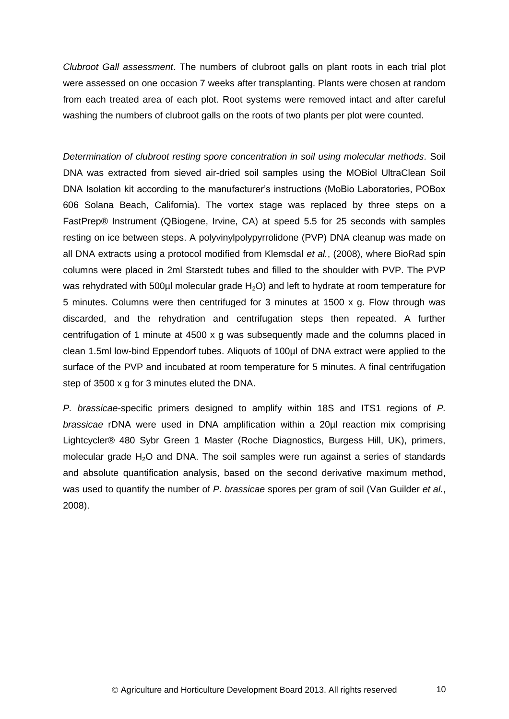*Clubroot Gall assessment*. The numbers of clubroot galls on plant roots in each trial plot were assessed on one occasion 7 weeks after transplanting. Plants were chosen at random from each treated area of each plot. Root systems were removed intact and after careful washing the numbers of clubroot galls on the roots of two plants per plot were counted.

*Determination of clubroot resting spore concentration in soil using molecular methods.* Soil DNA was extracted from sieved air-dried soil samples using the MOBiol UltraClean Soil DNA Isolation kit according to the manufacturer's instructions (MoBio Laboratories, POBox 606 Solana Beach, California). The vortex stage was replaced by three steps on a FastPrep® Instrument (QBiogene, Irvine, CA) at speed 5.5 for 25 seconds with samples resting on ice between steps. A polyvinylpolypyrrolidone (PVP) DNA cleanup was made on all DNA extracts using a protocol modified from Klemsdal *et al.*, (2008), where BioRad spin columns were placed in 2ml Starstedt tubes and filled to the shoulder with PVP. The PVP was rehydrated with 500µl molecular grade  $H_2O$ ) and left to hydrate at room temperature for 5 minutes. Columns were then centrifuged for 3 minutes at 1500 x g. Flow through was discarded, and the rehydration and centrifugation steps then repeated. A further centrifugation of 1 minute at 4500 x g was subsequently made and the columns placed in clean 1.5ml low-bind Eppendorf tubes. Aliquots of 100µl of DNA extract were applied to the surface of the PVP and incubated at room temperature for 5 minutes. A final centrifugation step of 3500 x g for 3 minutes eluted the DNA.

*P. brassicae*-specific primers designed to amplify within 18S and ITS1 regions of *P. brassicae* rDNA were used in DNA amplification within a 20µl reaction mix comprising Lightcycler® 480 Sybr Green 1 Master (Roche Diagnostics, Burgess Hill, UK), primers, molecular grade  $H_2O$  and DNA. The soil samples were run against a series of standards and absolute quantification analysis, based on the second derivative maximum method, was used to quantify the number of *P. brassicae* spores per gram of soil (Van Guilder *et al.*, 2008).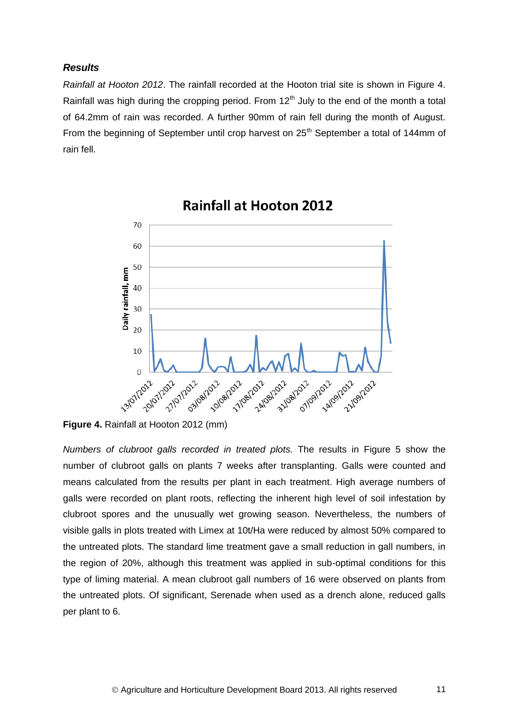### *Results*

*Rainfall at Hooton 2012*. The rainfall recorded at the Hooton trial site is shown in Figure 4. Rainfall was high during the cropping period. From  $12<sup>th</sup>$  July to the end of the month a total of 64.2mm of rain was recorded. A further 90mm of rain fell during the month of August. From the beginning of September until crop harvest on  $25<sup>th</sup>$  September a total of 144mm of rain fell.



# **Rainfall at Hooton 2012**

**Figure 4.** Rainfall at Hooton 2012 (mm)

*Numbers of clubroot galls recorded in treated plots.* The results in Figure 5 show the number of clubroot galls on plants 7 weeks after transplanting. Galls were counted and means calculated from the results per plant in each treatment. High average numbers of galls were recorded on plant roots, reflecting the inherent high level of soil infestation by clubroot spores and the unusually wet growing season. Nevertheless, the numbers of visible galls in plots treated with Limex at 10t/Ha were reduced by almost 50% compared to the untreated plots. The standard lime treatment gave a small reduction in gall numbers, in the region of 20%, although this treatment was applied in sub-optimal conditions for this type of liming material. A mean clubroot gall numbers of 16 were observed on plants from the untreated plots. Of significant, Serenade when used as a drench alone, reduced galls per plant to 6.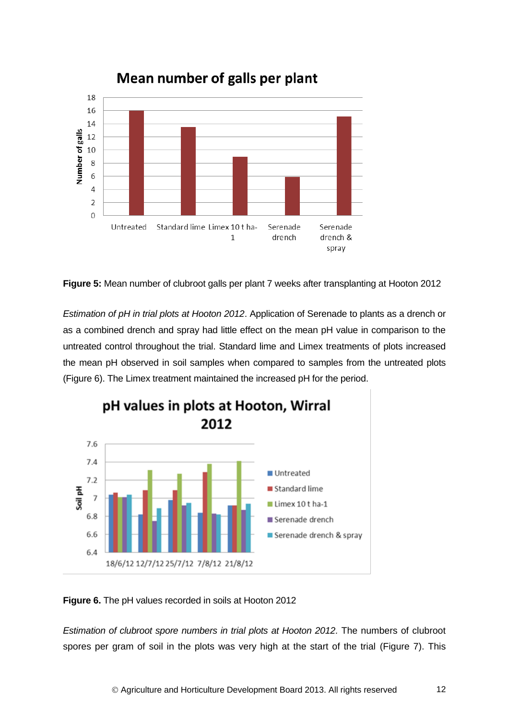

Mean number of galls per plant

**Figure 5:** Mean number of clubroot galls per plant 7 weeks after transplanting at Hooton 2012

*Estimation of pH in trial plots at Hooton 2012*. Application of Serenade to plants as a drench or as a combined drench and spray had little effect on the mean pH value in comparison to the untreated control throughout the trial. Standard lime and Limex treatments of plots increased the mean pH observed in soil samples when compared to samples from the untreated plots (Figure 6). The Limex treatment maintained the increased pH for the period.



pH values in plots at Hooton, Wirral

**Figure 6.** The pH values recorded in soils at Hooton 2012

*Estimation of clubroot spore numbers in trial plots at Hooton 2012.* The numbers of clubroot spores per gram of soil in the plots was very high at the start of the trial (Figure 7). This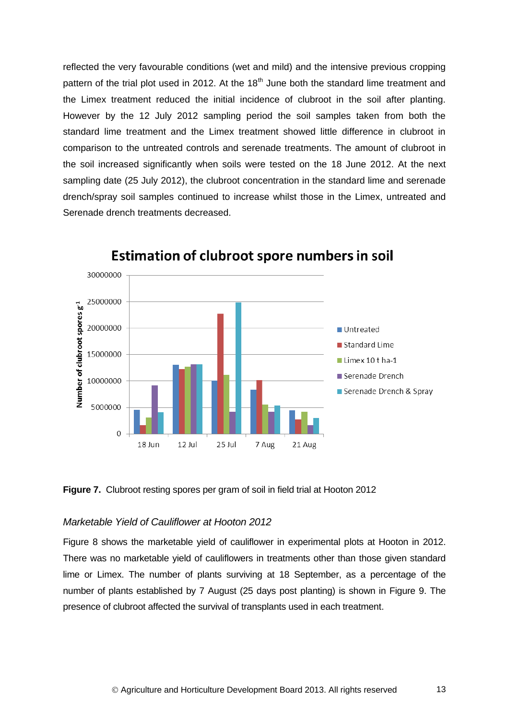reflected the very favourable conditions (wet and mild) and the intensive previous cropping pattern of the trial plot used in 2012. At the 18<sup>th</sup> June both the standard lime treatment and the Limex treatment reduced the initial incidence of clubroot in the soil after planting. However by the 12 July 2012 sampling period the soil samples taken from both the standard lime treatment and the Limex treatment showed little difference in clubroot in comparison to the untreated controls and serenade treatments. The amount of clubroot in the soil increased significantly when soils were tested on the 18 June 2012. At the next sampling date (25 July 2012), the clubroot concentration in the standard lime and serenade drench/spray soil samples continued to increase whilst those in the Limex, untreated and Serenade drench treatments decreased.



**Estimation of clubroot spore numbers in soil** 

**Figure 7.** Clubroot resting spores per gram of soil in field trial at Hooton 2012

### *Marketable Yield of Cauliflower at Hooton 2012*

Figure 8 shows the marketable yield of cauliflower in experimental plots at Hooton in 2012. There was no marketable yield of cauliflowers in treatments other than those given standard lime or Limex. The number of plants surviving at 18 September, as a percentage of the number of plants established by 7 August (25 days post planting) is shown in Figure 9. The presence of clubroot affected the survival of transplants used in each treatment.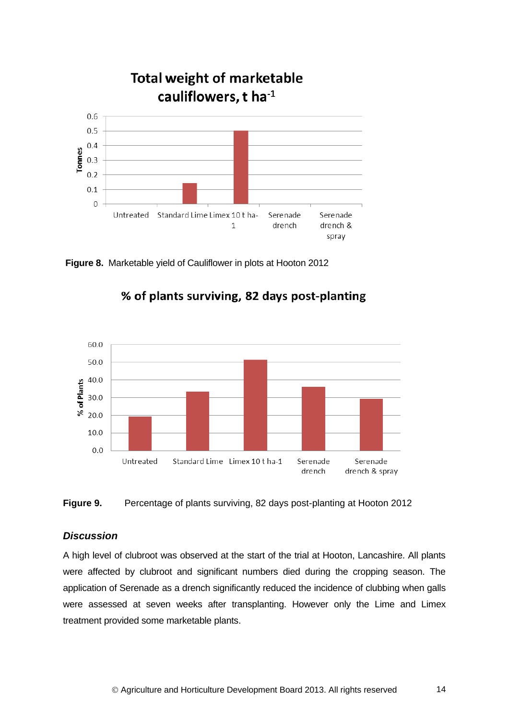

**Figure 8.** Marketable yield of Cauliflower in plots at Hooton 2012



% of plants surviving, 82 days post-planting

### **Figure 9.** Percentage of plants surviving, 82 days post-planting at Hooton 2012

### *Discussion*

A high level of clubroot was observed at the start of the trial at Hooton, Lancashire. All plants were affected by clubroot and significant numbers died during the cropping season. The application of Serenade as a drench significantly reduced the incidence of clubbing when galls were assessed at seven weeks after transplanting. However only the Lime and Limex treatment provided some marketable plants.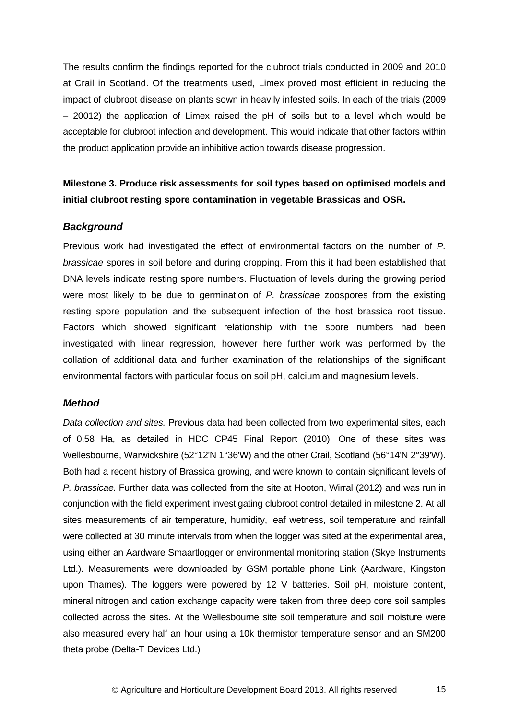The results confirm the findings reported for the clubroot trials conducted in 2009 and 2010 at Crail in Scotland. Of the treatments used, Limex proved most efficient in reducing the impact of clubroot disease on plants sown in heavily infested soils. In each of the trials (2009 – 20012) the application of Limex raised the pH of soils but to a level which would be acceptable for clubroot infection and development. This would indicate that other factors within the product application provide an inhibitive action towards disease progression.

# **Milestone 3. Produce risk assessments for soil types based on optimised models and initial clubroot resting spore contamination in vegetable Brassicas and OSR.**

### *Background*

Previous work had investigated the effect of environmental factors on the number of *P. brassicae* spores in soil before and during cropping. From this it had been established that DNA levels indicate resting spore numbers. Fluctuation of levels during the growing period were most likely to be due to germination of *P. brassicae* zoospores from the existing resting spore population and the subsequent infection of the host brassica root tissue. Factors which showed significant relationship with the spore numbers had been investigated with linear regression, however here further work was performed by the collation of additional data and further examination of the relationships of the significant environmental factors with particular focus on soil pH, calcium and magnesium levels.

#### *Method*

*Data collection and sites.* Previous data had been collected from two experimental sites, each of 0.58 Ha, as detailed in HDC CP45 Final Report (2010). One of these sites was Wellesbourne, Warwickshire (52°12'N 1°36'W) and the other Crail, Scotland (56°14'N 2°39'W). Both had a recent history of Brassica growing, and were known to contain significant levels of *P. brassicae.* Further data was collected from the site at Hooton, Wirral (2012) and was run in conjunction with the field experiment investigating clubroot control detailed in milestone 2. At all sites measurements of air temperature, humidity, leaf wetness, soil temperature and rainfall were collected at 30 minute intervals from when the logger was sited at the experimental area, using either an Aardware Smaartlogger or environmental monitoring station (Skye Instruments Ltd.). Measurements were downloaded by GSM portable phone Link (Aardware, Kingston upon Thames). The loggers were powered by 12 V batteries. Soil pH, moisture content, mineral nitrogen and cation exchange capacity were taken from three deep core soil samples collected across the sites. At the Wellesbourne site soil temperature and soil moisture were also measured every half an hour using a 10k thermistor temperature sensor and an SM200 theta probe (Delta-T Devices Ltd.)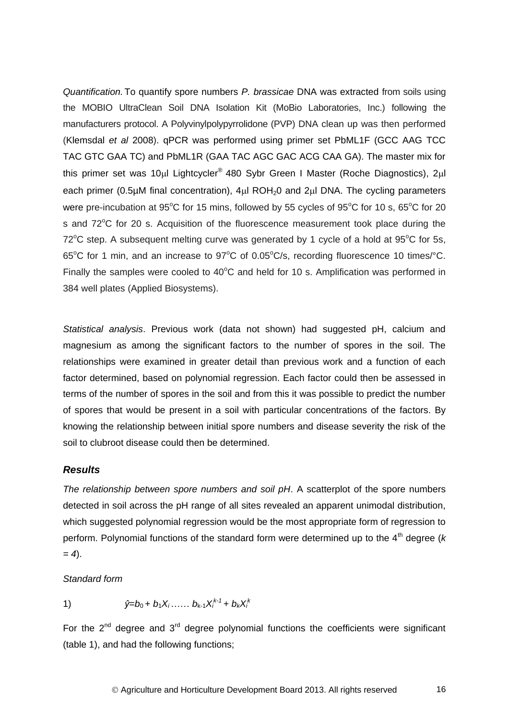*Quantification.* To quantify spore numbers *P. brassicae* DNA was extracted from soils using the MOBIO UltraClean Soil DNA Isolation Kit (MoBio Laboratories, Inc.) following the manufacturers protocol. A Polyvinylpolypyrrolidone (PVP) DNA clean up was then performed (Klemsdal *et al* 2008). qPCR was performed using primer set PbML1F (GCC AAG TCC TAC GTC GAA TC) and PbML1R (GAA TAC AGC GAC ACG CAA GA). The master mix for this primer set was 10µl Lightcycler® 480 Sybr Green I Master (Roche Diagnostics), 2µl each primer (0.5 $\mu$ M final concentration), 4 $\mu$ l ROH<sub>2</sub>0 and 2 $\mu$ l DNA. The cycling parameters were pre-incubation at 95 $\mathrm{^{\circ}C}$  for 15 mins, followed by 55 cycles of 95 $\mathrm{^{\circ}C}$  for 10 s, 65 $\mathrm{^{\circ}C}$  for 20 s and 72°C for 20 s. Acquisition of the fluorescence measurement took place during the  $72^{\circ}$ C step. A subsequent melting curve was generated by 1 cycle of a hold at 95 $^{\circ}$ C for 5s, 65<sup>o</sup>C for 1 min, and an increase to 97<sup>o</sup>C of 0.05<sup>o</sup>C/s, recording fluorescence 10 times/<sup>o</sup>C. Finally the samples were cooled to  $40^{\circ}$ C and held for 10 s. Amplification was performed in 384 well plates (Applied Biosystems).

*Statistical analysis*. Previous work (data not shown) had suggested pH, calcium and magnesium as among the significant factors to the number of spores in the soil. The relationships were examined in greater detail than previous work and a function of each factor determined, based on polynomial regression. Each factor could then be assessed in terms of the number of spores in the soil and from this it was possible to predict the number of spores that would be present in a soil with particular concentrations of the factors. By knowing the relationship between initial spore numbers and disease severity the risk of the soil to clubroot disease could then be determined.

### *Results*

*The relationship between spore numbers and soil pH*. A scatterplot of the spore numbers detected in soil across the pH range of all sites revealed an apparent unimodal distribution, which suggested polynomial regression would be the most appropriate form of regression to perform. Polynomial functions of the standard form were determined up to the 4<sup>th</sup> degree (*k*) *= 4*).

*Standard form* 

1) 
$$
\hat{y}=b_0+b_1X_1\ldots\ldots\ b_{k-1}X_i^{k-1}+b_kX_i^{k}
$$

For the  $2^{nd}$  degree and  $3^{rd}$  degree polynomial functions the coefficients were significant (table 1), and had the following functions;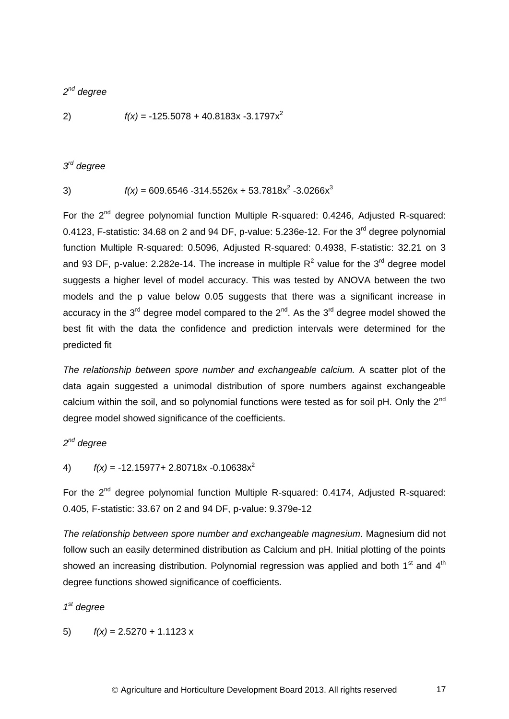### *2 nd degree*

$$
f(x) = -125.5078 + 40.8183x - 3.1797x^2
$$

### *3 rd degree*

3) 
$$
f(x) = 609.6546 - 314.5526x + 53.7818x^{2} - 3.0266x^{3}
$$

For the 2<sup>nd</sup> degree polynomial function Multiple R-squared: 0.4246, Adjusted R-squared: 0.4123, F-statistic: 34.68 on 2 and 94 DF, p-value:  $5.236e-12$ . For the  $3<sup>rd</sup>$  degree polynomial function Multiple R-squared: 0.5096, Adjusted R-squared: 0.4938, F-statistic: 32.21 on 3 and 93 DF, p-value: 2.282e-14. The increase in multiple  $R^2$  value for the 3<sup>rd</sup> degree model suggests a higher level of model accuracy. This was tested by ANOVA between the two models and the p value below 0.05 suggests that there was a significant increase in accuracy in the 3<sup>rd</sup> degree model compared to the 2<sup>nd</sup>. As the 3<sup>rd</sup> degree model showed the best fit with the data the confidence and prediction intervals were determined for the predicted fit

*The relationship between spore number and exchangeable calcium.* A scatter plot of the data again suggested a unimodal distribution of spore numbers against exchangeable calcium within the soil, and so polynomial functions were tested as for soil pH. Only the 2<sup>nd</sup> degree model showed significance of the coefficients.

*2 nd degree*

4)  $f(x) = -12.15977 + 2.80718x - 0.10638x^2$ 

For the  $2^{nd}$  degree polynomial function Multiple R-squared: 0.4174, Adjusted R-squared: 0.405, F-statistic: 33.67 on 2 and 94 DF, p-value: 9.379e-12

*The relationship between spore number and exchangeable magnesium.* Magnesium did not follow such an easily determined distribution as Calcium and pH. Initial plotting of the points showed an increasing distribution. Polynomial regression was applied and both 1<sup>st</sup> and 4<sup>th</sup> degree functions showed significance of coefficients.

### *1 st degree*

5)  $f(x) = 2.5270 + 1.1123x$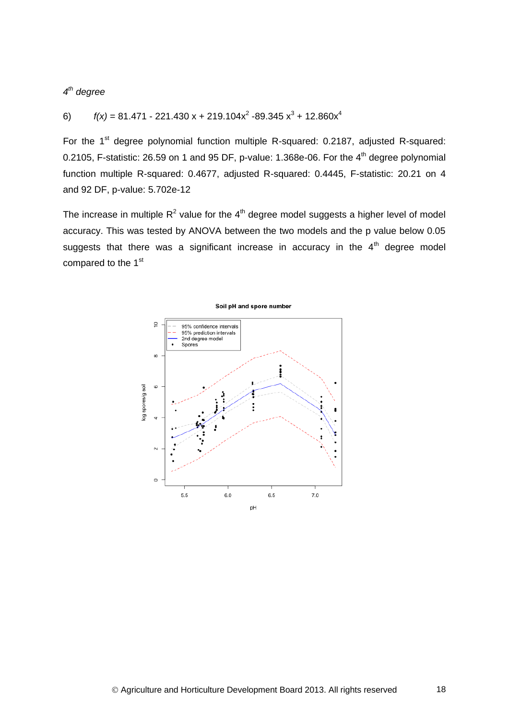### *4 th degree*

### 6)  $f(x) = 81.471 - 221.430 x + 219.104x^2 - 89.345 x^3 + 12.860x^4$

For the 1<sup>st</sup> degree polynomial function multiple R-squared: 0.2187, adjusted R-squared: 0.2105, F-statistic: 26.59 on 1 and 95 DF, p-value: 1.368e-06. For the 4<sup>th</sup> degree polynomial function multiple R-squared: 0.4677, adjusted R-squared: 0.4445, F-statistic: 20.21 on 4 and 92 DF, p-value: 5.702e-12

The increase in multiple  $R^2$  value for the  $4^{\text{th}}$  degree model suggests a higher level of model accuracy. This was tested by ANOVA between the two models and the p value below 0.05 suggests that there was a significant increase in accuracy in the  $4<sup>th</sup>$  degree model compared to the 1<sup>st</sup>



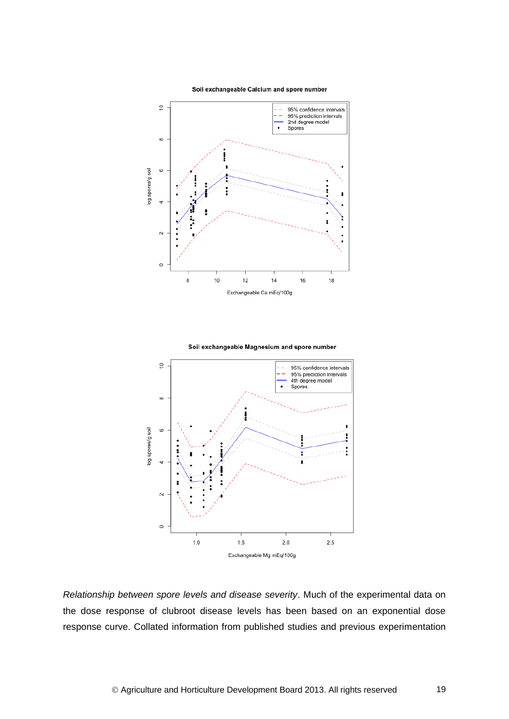Soil exchangeable Calcium and spore number



Soil exchangeable Magnesium and spore number



*Relationship between spore levels and disease severity*. Much of the experimental data on the dose response of clubroot disease levels has been based on an exponential dose response curve. Collated information from published studies and previous experimentation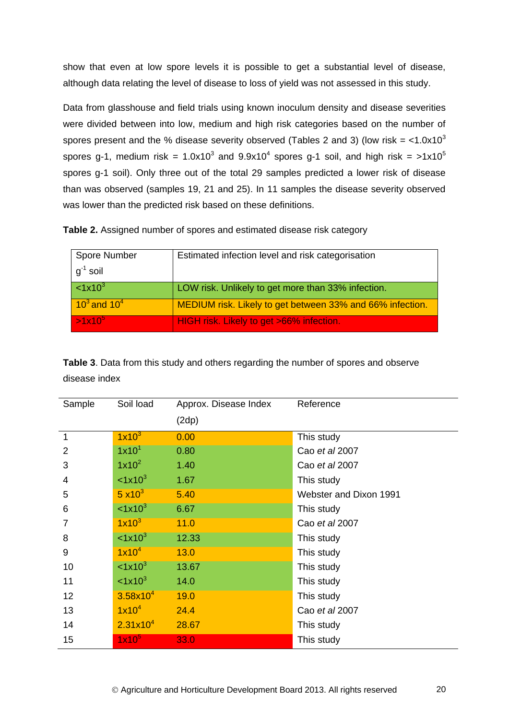show that even at low spore levels it is possible to get a substantial level of disease, although data relating the level of disease to loss of yield was not assessed in this study.

Data from glasshouse and field trials using known inoculum density and disease severities were divided between into low, medium and high risk categories based on the number of spores present and the % disease severity observed (Tables 2 and 3) (low risk =  $<$ 1.0x10<sup>3</sup> spores g-1, medium risk = 1.0x10<sup>3</sup> and 9.9x10<sup>4</sup> spores g-1 soil, and high risk = >1x10<sup>5</sup> spores g-1 soil). Only three out of the total 29 samples predicted a lower risk of disease than was observed (samples 19, 21 and 25). In 11 samples the disease severity observed was lower than the predicted risk based on these definitions.

**Table 2.** Assigned number of spores and estimated disease risk category

| Spore Number      | Estimated infection level and risk categorisation         |
|-------------------|-----------------------------------------------------------|
| $q^{-1}$ soil     |                                                           |
| $\leq 1x10^3$     | LOW risk. Unlikely to get more than 33% infection.        |
| $10^3$ and $10^4$ | MEDIUM risk. Likely to get between 33% and 66% infection. |
| $>1x10^5$         | HIGH risk. Likely to get >66% infection.                  |

**Table 3**. Data from this study and others regarding the number of spores and observe disease index

| Sample       | Soil load            | Approx. Disease Index | Reference              |  |  |  |
|--------------|----------------------|-----------------------|------------------------|--|--|--|
|              |                      | (2dp)                 |                        |  |  |  |
| $\mathbf{1}$ | $1x10^3$             | 0.00                  | This study             |  |  |  |
| 2            | 1x10 <sup>1</sup>    | 0.80                  | Cao et al 2007         |  |  |  |
| 3            | $1x10^2$             | 1.40                  | Cao et al 2007         |  |  |  |
| 4            | < 1x10 <sup>3</sup>  | 1.67                  | This study             |  |  |  |
| 5            | $5 \times 10^3$      | 5.40                  | Webster and Dixon 1991 |  |  |  |
| 6            | < 1x10 <sup>3</sup>  | 6.67                  | This study             |  |  |  |
| 7            | $1x10^3$             | 11.0                  | Cao et al 2007         |  |  |  |
| 8            | $\leq 1x10^3$        | 12.33                 | This study             |  |  |  |
| 9            | $1x10^4$             | 13.0                  | This study             |  |  |  |
| 10           | < 1x10 <sup>3</sup>  | 13.67                 | This study             |  |  |  |
| 11           | $\leq 1x10^3$        | 14.0                  | This study             |  |  |  |
| 12           | $3.58\times10^{4}$   | 19.0                  | This study             |  |  |  |
| 13           | $1x10^4$             | 24.4                  | Cao et al 2007         |  |  |  |
| 14           | 2.31x10 <sup>4</sup> | 28.67                 | This study             |  |  |  |
| 15           | $1x10^5$             | 33.0                  | This study             |  |  |  |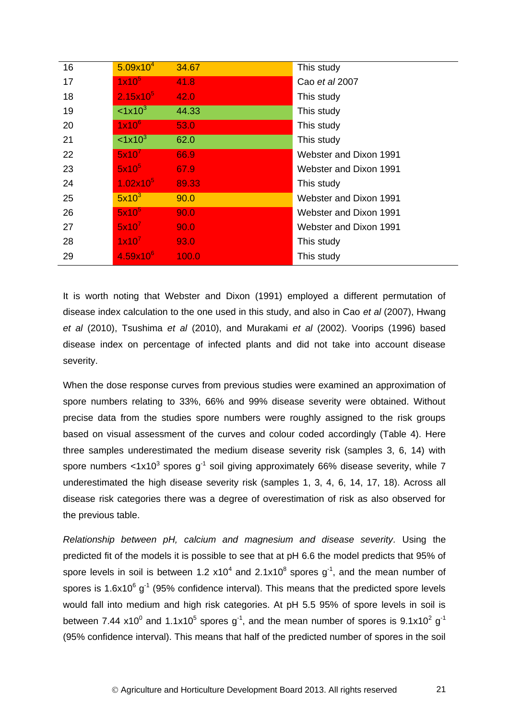| 16 | $5.09x10^{4}$       | 34.67 | This study             |
|----|---------------------|-------|------------------------|
| 17 | 1x10 <sup>5</sup>   | 41.8  | Cao et al 2007         |
| 18 | $2.15x10^5$         | 42.0  | This study             |
| 19 | $<1x10^3$           | 44.33 | This study             |
| 20 | $1x10^6$            | 53.0  | This study             |
| 21 | < 1x10 <sup>3</sup> | 62.0  | This study             |
| 22 | 5x10 <sup>7</sup>   | 66.9  | Webster and Dixon 1991 |
| 23 | $5x10^5$            | 67.9  | Webster and Dixon 1991 |
| 24 | $1.02x10^{5}$       | 89.33 | This study             |
| 25 | $5x10^3$            | 90.0  | Webster and Dixon 1991 |
| 26 | $5x10^5$            | 90.0  | Webster and Dixon 1991 |
| 27 | 5x10 <sup>7</sup>   | 90.0  | Webster and Dixon 1991 |
| 28 | $1x10^7$            | 93.0  | This study             |
| 29 | $4.59x10^{6}$       | 100.0 | This study             |
|    |                     |       |                        |

It is worth noting that Webster and Dixon (1991) employed a different permutation of disease index calculation to the one used in this study, and also in Cao *et al* (2007), Hwang *et al* (2010), Tsushima *et al* (2010), and Murakami *et al* (2002). Voorips (1996) based disease index on percentage of infected plants and did not take into account disease severity.

When the dose response curves from previous studies were examined an approximation of spore numbers relating to 33%, 66% and 99% disease severity were obtained. Without precise data from the studies spore numbers were roughly assigned to the risk groups based on visual assessment of the curves and colour coded accordingly (Table 4). Here three samples underestimated the medium disease severity risk (samples 3, 6, 14) with spore numbers <1x10<sup>3</sup> spores g<sup>-1</sup> soil giving approximately 66% disease severity, while 7 underestimated the high disease severity risk (samples 1, 3, 4, 6, 14, 17, 18). Across all disease risk categories there was a degree of overestimation of risk as also observed for the previous table.

*Relationship between pH, calcium and magnesium and disease severity.* Using the predicted fit of the models it is possible to see that at pH 6.6 the model predicts that 95% of spore levels in soil is between 1.2  $x10^4$  and 2.1 $x10^8$  spores  $g^{-1}$ , and the mean number of spores is 1.6x10 $^6$  g<sup>-1</sup> (95% confidence interval). This means that the predicted spore levels would fall into medium and high risk categories. At pH 5.5 95% of spore levels in soil is between 7.44 x10<sup>0</sup> and 1.1x10<sup>5</sup> spores g<sup>-1</sup>, and the mean number of spores is 9.1x10<sup>2</sup> g<sup>-1</sup> (95% confidence interval). This means that half of the predicted number of spores in the soil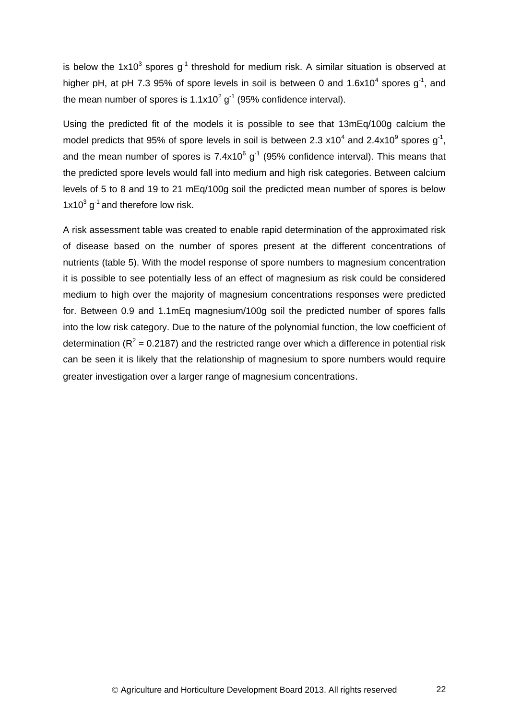is below the 1x10<sup>3</sup> spores g<sup>-1</sup> threshold for medium risk. A similar situation is observed at higher pH, at pH 7.3 95% of spore levels in soil is between 0 and 1.6x10<sup>4</sup> spores g<sup>-1</sup>, and the mean number of spores is 1.1x10<sup>2</sup> g<sup>-1</sup> (95% confidence interval).

Using the predicted fit of the models it is possible to see that 13mEq/100g calcium the model predicts that 95% of spore levels in soil is between 2.3 x10<sup>4</sup> and 2.4x10<sup>9</sup> spores g<sup>-1</sup>, and the mean number of spores is 7.4x10 $^6$  g<sup>-1</sup> (95% confidence interval). This means that the predicted spore levels would fall into medium and high risk categories. Between calcium levels of 5 to 8 and 19 to 21 mEq/100g soil the predicted mean number of spores is below  $1x10^3$  g<sup>-1</sup> and therefore low risk.

A risk assessment table was created to enable rapid determination of the approximated risk of disease based on the number of spores present at the different concentrations of nutrients (table 5). With the model response of spore numbers to magnesium concentration it is possible to see potentially less of an effect of magnesium as risk could be considered medium to high over the majority of magnesium concentrations responses were predicted for. Between 0.9 and 1.1mEq magnesium/100g soil the predicted number of spores falls into the low risk category. Due to the nature of the polynomial function, the low coefficient of determination ( $R^2$  = 0.2187) and the restricted range over which a difference in potential risk can be seen it is likely that the relationship of magnesium to spore numbers would require greater investigation over a larger range of magnesium concentrations.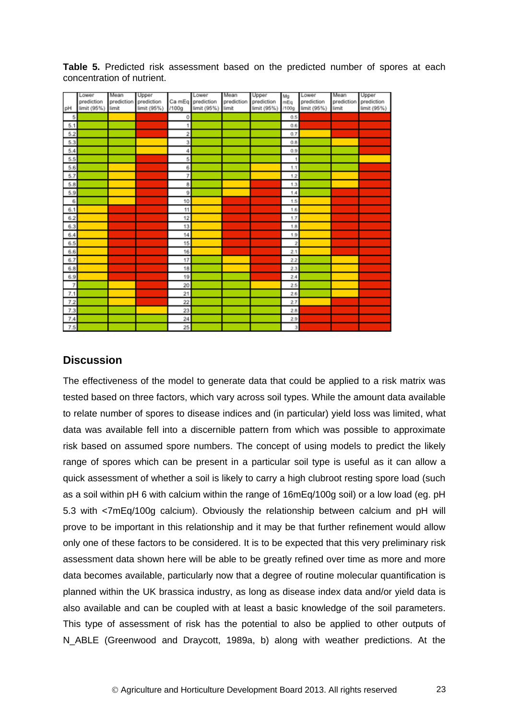|                | Lower                     | Mean                | Upper       |                         | Lower                            | Mean                | Upper       | Mg                      | Lower       | Mean                | Upper       |
|----------------|---------------------------|---------------------|-------------|-------------------------|----------------------------------|---------------------|-------------|-------------------------|-------------|---------------------|-------------|
|                | prediction<br>limit (95%) | prediction<br>limit | prediction  | /100q                   | Ca mEq prediction<br>limit (95%) | prediction<br>limit | prediction  | mEg<br>/100g            | prediction  | prediction<br>limit | prediction  |
| pH             |                           |                     | limit (95%) |                         |                                  |                     | limit (95%) |                         | limit (95%) |                     | limit (95%) |
| 5              |                           |                     |             | 0                       |                                  |                     |             | 0.5                     |             |                     |             |
| 5.1            |                           |                     |             | 1                       |                                  |                     |             | 0.6                     |             |                     |             |
| 5.2            |                           |                     |             | $\overline{\mathbf{2}}$ |                                  |                     |             | 0.7                     |             |                     |             |
| 5.3            |                           |                     |             | 3                       |                                  |                     |             | 0.8                     |             |                     |             |
| 5.4            |                           |                     |             | 4                       |                                  |                     |             | 0.9                     |             |                     |             |
| 5.5            |                           |                     |             | 5                       |                                  |                     |             |                         |             |                     |             |
| 5.6            |                           |                     |             | 6                       |                                  |                     |             | 1.1                     |             |                     |             |
| 5.7            |                           |                     |             | 7                       |                                  |                     |             | 1.2                     |             |                     |             |
| 5.8            |                           |                     |             | 8                       |                                  |                     |             | 1.3                     |             |                     |             |
| 5.9            |                           |                     |             | 9                       |                                  |                     |             | 1.4                     |             |                     |             |
| 6              |                           |                     |             | 10                      |                                  |                     |             | 1.5                     |             |                     |             |
| 6.1            |                           |                     |             | 11                      |                                  |                     |             | 1.6                     |             |                     |             |
| 6.2            |                           |                     |             | 12                      |                                  |                     |             | 1.7                     |             |                     |             |
| 6.3            |                           |                     |             | 13                      |                                  |                     |             | 1.8                     |             |                     |             |
| 6.4            |                           |                     |             | 14                      |                                  |                     |             | 1.9                     |             |                     |             |
| 6.5            |                           |                     |             | 15                      |                                  |                     |             | $\overline{\mathbf{z}}$ |             |                     |             |
| 6.6            |                           |                     |             | 16                      |                                  |                     |             | 2.1                     |             |                     |             |
| 6.7            |                           |                     |             | 17                      |                                  |                     |             | 2.2                     |             |                     |             |
| 6.8            |                           |                     |             | 18                      |                                  |                     |             | 2.3                     |             |                     |             |
| 6.9            |                           |                     |             | 19                      |                                  |                     |             | 2.4                     |             |                     |             |
| $\overline{7}$ |                           |                     |             | 20                      |                                  |                     |             | 2.5                     |             |                     |             |
| 7.1            |                           |                     |             | 21                      |                                  |                     |             | 2.6                     |             |                     |             |
| 7.2            |                           |                     |             | $^{22}$                 |                                  |                     |             | 2.7                     |             |                     |             |
| 7.3            |                           |                     |             | 23                      |                                  |                     |             | 2.8                     |             |                     |             |
| 7.4            |                           |                     |             | 24                      |                                  |                     |             | 2.9                     |             |                     |             |
| 7.5            |                           |                     |             | 25                      |                                  |                     |             | $\mathbf{3}$            |             |                     |             |

**Table 5.** Predicted risk assessment based on the predicted number of spores at each concentration of nutrient.

# **Discussion**

The effectiveness of the model to generate data that could be applied to a risk matrix was tested based on three factors, which vary across soil types. While the amount data available to relate number of spores to disease indices and (in particular) yield loss was limited, what data was available fell into a discernible pattern from which was possible to approximate risk based on assumed spore numbers. The concept of using models to predict the likely range of spores which can be present in a particular soil type is useful as it can allow a quick assessment of whether a soil is likely to carry a high clubroot resting spore load (such as a soil within pH 6 with calcium within the range of 16mEq/100g soil) or a low load (eg. pH 5.3 with <7mEq/100g calcium). Obviously the relationship between calcium and pH will prove to be important in this relationship and it may be that further refinement would allow only one of these factors to be considered. It is to be expected that this very preliminary risk assessment data shown here will be able to be greatly refined over time as more and more data becomes available, particularly now that a degree of routine molecular quantification is planned within the UK brassica industry, as long as disease index data and/or yield data is also available and can be coupled with at least a basic knowledge of the soil parameters. This type of assessment of risk has the potential to also be applied to other outputs of N ABLE (Greenwood and Draycott, 1989a, b) along with weather predictions. At the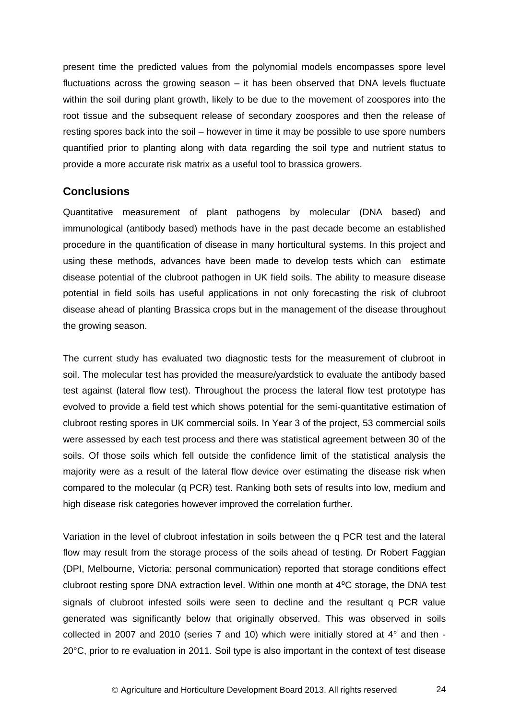present time the predicted values from the polynomial models encompasses spore level fluctuations across the growing season – it has been observed that DNA levels fluctuate within the soil during plant growth, likely to be due to the movement of zoospores into the root tissue and the subsequent release of secondary zoospores and then the release of resting spores back into the soil – however in time it may be possible to use spore numbers quantified prior to planting along with data regarding the soil type and nutrient status to provide a more accurate risk matrix as a useful tool to brassica growers.

# <span id="page-27-0"></span>**Conclusions**

Quantitative measurement of plant pathogens by molecular (DNA based) and immunological (antibody based) methods have in the past decade become an established procedure in the quantification of disease in many horticultural systems. In this project and using these methods, advances have been made to develop tests which can estimate disease potential of the clubroot pathogen in UK field soils. The ability to measure disease potential in field soils has useful applications in not only forecasting the risk of clubroot disease ahead of planting Brassica crops but in the management of the disease throughout the growing season.

The current study has evaluated two diagnostic tests for the measurement of clubroot in soil. The molecular test has provided the measure/yardstick to evaluate the antibody based test against (lateral flow test). Throughout the process the lateral flow test prototype has evolved to provide a field test which shows potential for the semi-quantitative estimation of clubroot resting spores in UK commercial soils. In Year 3 of the project, 53 commercial soils were assessed by each test process and there was statistical agreement between 30 of the soils. Of those soils which fell outside the confidence limit of the statistical analysis the majority were as a result of the lateral flow device over estimating the disease risk when compared to the molecular (q PCR) test. Ranking both sets of results into low, medium and high disease risk categories however improved the correlation further.

Variation in the level of clubroot infestation in soils between the q PCR test and the lateral flow may result from the storage process of the soils ahead of testing. Dr Robert Faggian (DPI, Melbourne, Victoria: personal communication) reported that storage conditions effect clubroot resting spore DNA extraction level. Within one month at 4⁰C storage, the DNA test signals of clubroot infested soils were seen to decline and the resultant q PCR value generated was significantly below that originally observed. This was observed in soils collected in 2007 and 2010 (series 7 and 10) which were initially stored at 4° and then - 20°C, prior to re evaluation in 2011. Soil type is also important in the context of test disease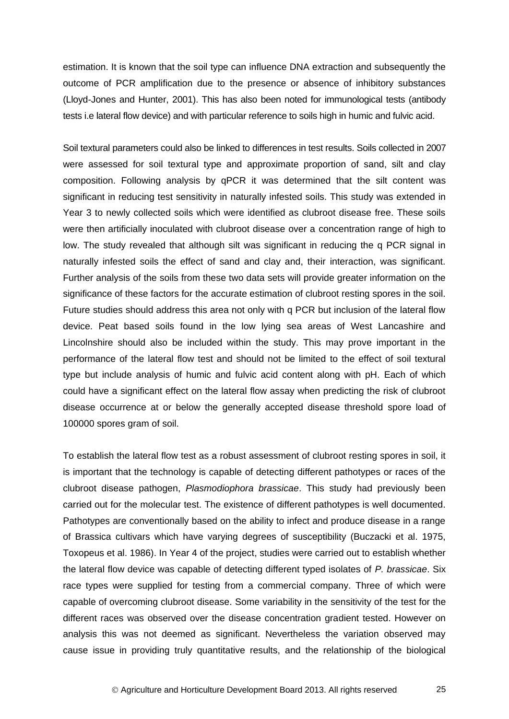estimation. It is known that the soil type can influence DNA extraction and subsequently the outcome of PCR amplification due to the presence or absence of inhibitory substances (Lloyd-Jones and Hunter, 2001). This has also been noted for immunological tests (antibody tests i.e lateral flow device) and with particular reference to soils high in humic and fulvic acid.

Soil textural parameters could also be linked to differences in test results. Soils collected in 2007 were assessed for soil textural type and approximate proportion of sand, silt and clay composition. Following analysis by qPCR it was determined that the silt content was significant in reducing test sensitivity in naturally infested soils. This study was extended in Year 3 to newly collected soils which were identified as clubroot disease free. These soils were then artificially inoculated with clubroot disease over a concentration range of high to low. The study revealed that although silt was significant in reducing the q PCR signal in naturally infested soils the effect of sand and clay and, their interaction, was significant. Further analysis of the soils from these two data sets will provide greater information on the significance of these factors for the accurate estimation of clubroot resting spores in the soil. Future studies should address this area not only with q PCR but inclusion of the lateral flow device. Peat based soils found in the low lying sea areas of West Lancashire and Lincolnshire should also be included within the study. This may prove important in the performance of the lateral flow test and should not be limited to the effect of soil textural type but include analysis of humic and fulvic acid content along with pH. Each of which could have a significant effect on the lateral flow assay when predicting the risk of clubroot disease occurrence at or below the generally accepted disease threshold spore load of 100000 spores gram of soil.

To establish the lateral flow test as a robust assessment of clubroot resting spores in soil, it is important that the technology is capable of detecting different pathotypes or races of the clubroot disease pathogen, *Plasmodiophora brassicae*. This study had previously been carried out for the molecular test. The existence of different pathotypes is well documented. Pathotypes are conventionally based on the ability to infect and produce disease in a range of Brassica cultivars which have varying degrees of susceptibility (Buczacki et al. 1975, Toxopeus et al. 1986). In Year 4 of the project, studies were carried out to establish whether the lateral flow device was capable of detecting different typed isolates of *P. brassicae*. Six race types were supplied for testing from a commercial company. Three of which were capable of overcoming clubroot disease. Some variability in the sensitivity of the test for the different races was observed over the disease concentration gradient tested. However on analysis this was not deemed as significant. Nevertheless the variation observed may cause issue in providing truly quantitative results, and the relationship of the biological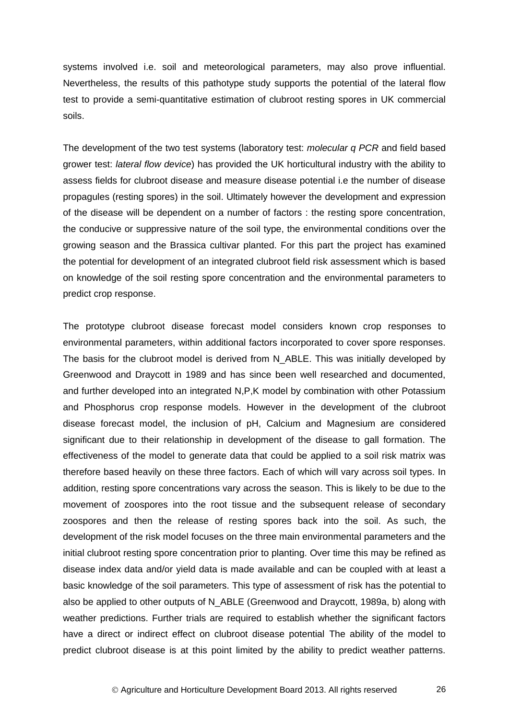systems involved i.e. soil and meteorological parameters, may also prove influential. Nevertheless, the results of this pathotype study supports the potential of the lateral flow test to provide a semi-quantitative estimation of clubroot resting spores in UK commercial soils.

The development of the two test systems (laboratory test: *molecular q PCR* and field based grower test: *lateral flow device*) has provided the UK horticultural industry with the ability to assess fields for clubroot disease and measure disease potential i.e the number of disease propagules (resting spores) in the soil. Ultimately however the development and expression of the disease will be dependent on a number of factors : the resting spore concentration, the conducive or suppressive nature of the soil type, the environmental conditions over the growing season and the Brassica cultivar planted. For this part the project has examined the potential for development of an integrated clubroot field risk assessment which is based on knowledge of the soil resting spore concentration and the environmental parameters to predict crop response.

The prototype clubroot disease forecast model considers known crop responses to environmental parameters, within additional factors incorporated to cover spore responses. The basis for the clubroot model is derived from N\_ABLE. This was initially developed by Greenwood and Draycott in 1989 and has since been well researched and documented, and further developed into an integrated N,P,K model by combination with other Potassium and Phosphorus crop response models. However in the development of the clubroot disease forecast model, the inclusion of pH, Calcium and Magnesium are considered significant due to their relationship in development of the disease to gall formation. The effectiveness of the model to generate data that could be applied to a soil risk matrix was therefore based heavily on these three factors. Each of which will vary across soil types. In addition, resting spore concentrations vary across the season. This is likely to be due to the movement of zoospores into the root tissue and the subsequent release of secondary zoospores and then the release of resting spores back into the soil. As such, the development of the risk model focuses on the three main environmental parameters and the initial clubroot resting spore concentration prior to planting. Over time this may be refined as disease index data and/or yield data is made available and can be coupled with at least a basic knowledge of the soil parameters. This type of assessment of risk has the potential to also be applied to other outputs of N\_ABLE (Greenwood and Draycott, 1989a, b) along with weather predictions. Further trials are required to establish whether the significant factors have a direct or indirect effect on clubroot disease potential The ability of the model to predict clubroot disease is at this point limited by the ability to predict weather patterns.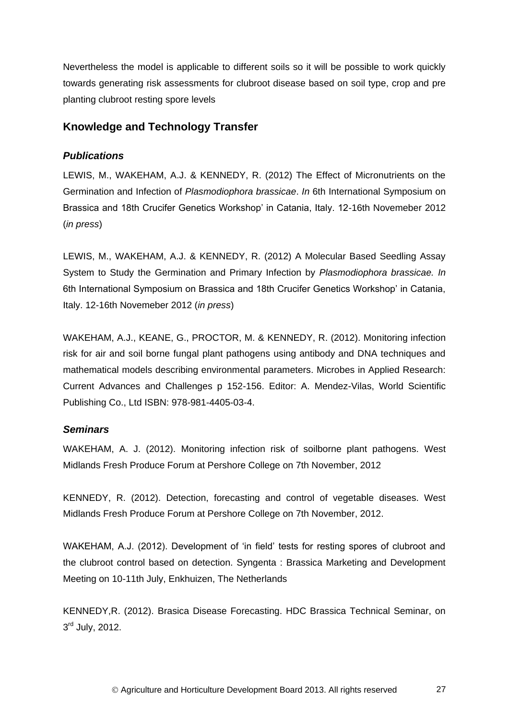Nevertheless the model is applicable to different soils so it will be possible to work quickly towards generating risk assessments for clubroot disease based on soil type, crop and pre planting clubroot resting spore levels

# <span id="page-30-0"></span>**Knowledge and Technology Transfer**

# *Publications*

LEWIS, M., WAKEHAM, A.J. & KENNEDY, R. (2012) The Effect of Micronutrients on the Germination and Infection of *Plasmodiophora brassicae*. *In* 6th International Symposium on Brassica and 18th Crucifer Genetics Workshop' in Catania, Italy. 12-16th Novemeber 2012 (*in press*)

LEWIS, M., WAKEHAM, A.J. & KENNEDY, R. (2012) A Molecular Based Seedling Assay System to Study the Germination and Primary Infection by *Plasmodiophora brassicae. In* 6th International Symposium on Brassica and 18th Crucifer Genetics Workshop' in Catania, Italy. 12-16th Novemeber 2012 (*in press*)

WAKEHAM, A.J., KEANE, G., PROCTOR, M. & KENNEDY, R. (2012). Monitoring infection risk for air and soil borne fungal plant pathogens using antibody and DNA techniques and mathematical models describing environmental parameters. Microbes in Applied Research: Current Advances and Challenges p 152-156. Editor: A. Mendez-Vilas, World Scientific Publishing Co., Ltd ISBN: 978-981-4405-03-4.

# *Seminars*

WAKEHAM, A. J. (2012). Monitoring infection risk of soilborne plant pathogens. West Midlands Fresh Produce Forum at Pershore College on 7th November, 2012

KENNEDY, R. (2012). Detection, forecasting and control of vegetable diseases. West Midlands Fresh Produce Forum at Pershore College on 7th November, 2012.

WAKEHAM, A.J. (2012). Development of 'in field' tests for resting spores of clubroot and the clubroot control based on detection. Syngenta : Brassica Marketing and Development Meeting on 10-11th July, Enkhuizen, The Netherlands

KENNEDY,R. (2012). Brasica Disease Forecasting. HDC Brassica Technical Seminar, on 3<sup>rd</sup> July, 2012.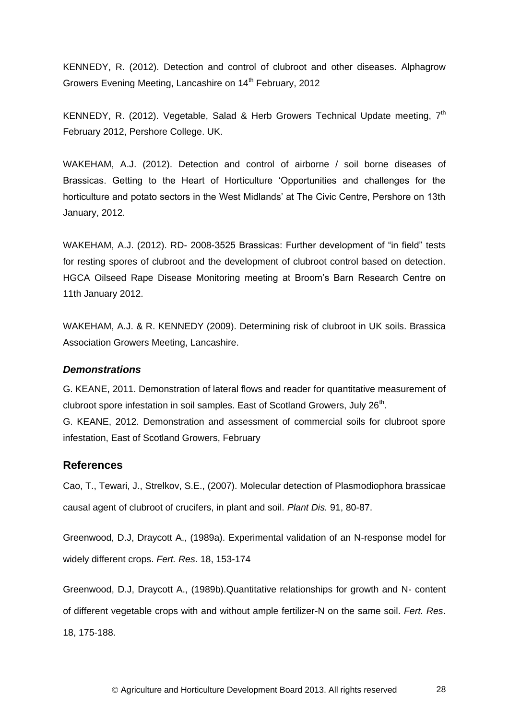KENNEDY, R. (2012). Detection and control of clubroot and other diseases. Alphagrow Growers Evening Meeting, Lancashire on 14<sup>th</sup> February, 2012

KENNEDY, R. (2012). Vegetable, Salad & Herb Growers Technical Update meeting,  $7<sup>th</sup>$ February 2012, Pershore College. UK.

WAKEHAM, A.J. (2012). Detection and control of airborne / soil borne diseases of Brassicas. Getting to the Heart of Horticulture 'Opportunities and challenges for the horticulture and potato sectors in the West Midlands' at The Civic Centre, Pershore on 13th January, 2012.

WAKEHAM, A.J. (2012). RD- 2008-3525 Brassicas: Further development of "in field" tests for resting spores of clubroot and the development of clubroot control based on detection. HGCA Oilseed Rape Disease Monitoring meeting at Broom's Barn Research Centre on 11th January 2012.

WAKEHAM, A.J. & R. KENNEDY (2009). Determining risk of clubroot in UK soils. Brassica Association Growers Meeting, Lancashire.

### *Demonstrations*

G. KEANE, 2011. Demonstration of lateral flows and reader for quantitative measurement of clubroot spore infestation in soil samples. East of Scotland Growers, July 26<sup>th</sup>. G. KEANE, 2012. Demonstration and assessment of commercial soils for clubroot spore infestation, East of Scotland Growers, February

### **References**

Cao, T., Tewari, J., Strelkov, S.E., (2007). Molecular detection of Plasmodiophora brassicae causal agent of clubroot of crucifers, in plant and soil. *Plant Dis.* 91, 80-87.

Greenwood, D.J, Draycott A., (1989a). Experimental validation of an N-response model for widely different crops. *Fert. Res*. 18, 153-174

Greenwood, D.J, Draycott A., (1989b).Quantitative relationships for growth and N- content of different vegetable crops with and without ample fertilizer-N on the same soil. *Fert. Res*. 18, 175-188.